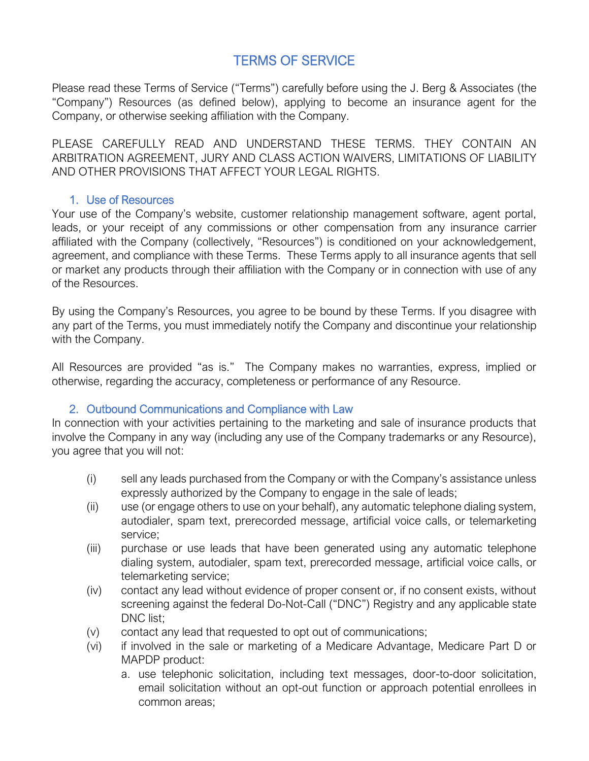# TERMS OF SERVICE

Please read these Terms of Service ("Terms") carefully before using the J. Berg & Associates (the "Company") Resources (as defined below), applying to become an insurance agent for the Company, or otherwise seeking affiliation with the Company.

PLEASE CAREFULLY READ AND UNDERSTAND THESE TERMS. THEY CONTAIN AN ARBITRATION AGREEMENT, JURY AND CLASS ACTION WAIVERS, LIMITATIONS OF LIABILITY AND OTHER PROVISIONS THAT AFFECT YOUR LEGAL RIGHTS.

#### 1. Use of Resources

Your use of the Company's website, customer relationship management software, agent portal, leads, or your receipt of any commissions or other compensation from any insurance carrier affiliated with the Company (collectively, "Resources") is conditioned on your acknowledgement, agreement, and compliance with these Terms. These Terms apply to all insurance agents that sell or market any products through their affiliation with the Company or in connection with use of any of the Resources.

By using the Company's Resources, you agree to be bound by these Terms. If you disagree with any part of the Terms, you must immediately notify the Company and discontinue your relationship with the Company.

All Resources are provided "as is." The Company makes no warranties, express, implied or otherwise, regarding the accuracy, completeness or performance of any Resource.

## 2. Outbound Communications and Compliance with Law

In connection with your activities pertaining to the marketing and sale of insurance products that involve the Company in any way (including any use of the Company trademarks or any Resource), you agree that you will not:

- (i) sell any leads purchased from the Company or with the Company's assistance unless expressly authorized by the Company to engage in the sale of leads;
- (ii) use (or engage others to use on your behalf), any automatic telephone dialing system, autodialer, spam text, prerecorded message, artificial voice calls, or telemarketing service;
- (iii) purchase or use leads that have been generated using any automatic telephone dialing system, autodialer, spam text, prerecorded message, artificial voice calls, or telemarketing service;
- (iv) contact any lead without evidence of proper consent or, if no consent exists, without screening against the federal Do-Not-Call ("DNC") Registry and any applicable state DNC list:
- (v) contact any lead that requested to opt out of communications;
- (vi) if involved in the sale or marketing of a Medicare Advantage, Medicare Part D or MAPDP product:
	- a. use telephonic solicitation, including text messages, door-to-door solicitation, email solicitation without an opt-out function or approach potential enrollees in common areas;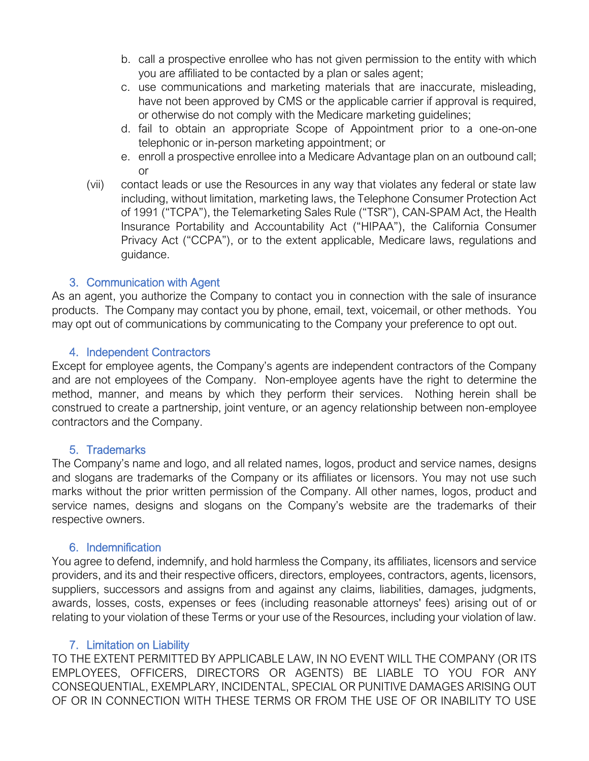- b. call a prospective enrollee who has not given permission to the entity with which you are affiliated to be contacted by a plan or sales agent;
- c. use communications and marketing materials that are inaccurate, misleading, have not been approved by CMS or the applicable carrier if approval is required, or otherwise do not comply with the Medicare marketing guidelines;
- d. fail to obtain an appropriate Scope of Appointment prior to a one-on-one telephonic or in-person marketing appointment; or
- e. enroll a prospective enrollee into a Medicare Advantage plan on an outbound call; or
- (vii) contact leads or use the Resources in any way that violates any federal or state law including, without limitation, marketing laws, the Telephone Consumer Protection Act of 1991 ("TCPA"), the Telemarketing Sales Rule ("TSR"), CAN-SPAM Act, the Health Insurance Portability and Accountability Act ("HIPAA"), the California Consumer Privacy Act ("CCPA"), or to the extent applicable, Medicare laws, regulations and guidance.

## 3. Communication with Agent

As an agent, you authorize the Company to contact you in connection with the sale of insurance products. The Company may contact you by phone, email, text, voicemail, or other methods. You may opt out of communications by communicating to the Company your preference to opt out.

## 4. Independent Contractors

Except for employee agents, the Company's agents are independent contractors of the Company and are not employees of the Company. Non-employee agents have the right to determine the method, manner, and means by which they perform their services. Nothing herein shall be construed to create a partnership, joint venture, or an agency relationship between non-employee contractors and the Company.

## 5. Trademarks

The Company's name and logo, and all related names, logos, product and service names, designs and slogans are trademarks of the Company or its affiliates or licensors. You may not use such marks without the prior written permission of the Company. All other names, logos, product and service names, designs and slogans on the Company's website are the trademarks of their respective owners.

## 6. Indemnification

You agree to defend, indemnify, and hold harmless the Company, its affiliates, licensors and service providers, and its and their respective officers, directors, employees, contractors, agents, licensors, suppliers, successors and assigns from and against any claims, liabilities, damages, judgments, awards, losses, costs, expenses or fees (including reasonable attorneys' fees) arising out of or relating to your violation of these Terms or your use of the Resources, including your violation of law.

## 7. Limitation on Liability

TO THE EXTENT PERMITTED BY APPLICABLE LAW, IN NO EVENT WILL THE COMPANY (OR ITS EMPLOYEES, OFFICERS, DIRECTORS OR AGENTS) BE LIABLE TO YOU FOR ANY CONSEQUENTIAL, EXEMPLARY, INCIDENTAL, SPECIAL OR PUNITIVE DAMAGES ARISING OUT OF OR IN CONNECTION WITH THESE TERMS OR FROM THE USE OF OR INABILITY TO USE